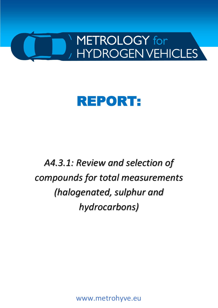

# REPORT:

*A4.3.1: Review and selection of compounds for total measurements (halogenated, sulphur and hydrocarbons)*

www.metrohyve.eu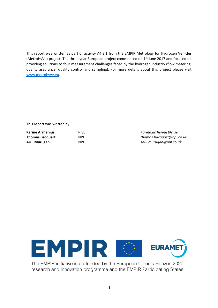This report was written as part of activity A4.3.1 from the EMPIR Metrology for Hydrogen Vehicles (MetroHyVe) project. The three year European project commenced on 1<sup>st</sup> June 2017 and focused on providing solutions to four measurement challenges faced by the hydrogen industry (flow metering, quality assurance, quality control and sampling). For more details about this project please visit [www.metrohyve.eu.](http://www.metrohyve.eu/)

#### This report was written by:

| <b>Karine Arrhenius</b> | <b>RISE</b> |
|-------------------------|-------------|
| <b>Thomas Bacquart</b>  | <b>NPL</b>  |
| Arul Murugan            | NPL.        |

**Karine Arrhenius** RISE *Karine.arrhenius@ri.se* **Thomas Bacquart** NPL *thomas.bacquart@npl.co.uk* **Arul Murugan** NPL *Arul.murugan@npl.co.uk*



The EMPIR initiative is co-funded by the European Union's Horizon 2020 research and innovation programme and the EMPIR Participating States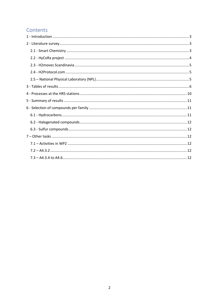# Contents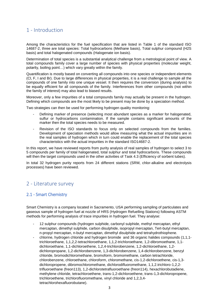# <span id="page-3-0"></span>1 - Introduction

Among the characteristics for the fuel specification that are listed in Table 1 of the standard ISO 14687-2, three are total species: Total hydrocarbons (Methane basis), Total sulphur compound (H2S basis) and total halogenated compounds (Halogenate ion basis).

Determination of total species is a substantial analytical challenge from a metrological point of view. A total compounds family cover a large number of species with physical properties (molecular weight, polarity, boiling point…) which vary greatly within the family.

Quantification is mostly based on converting all compounds into one species or independent elements (Cl, F, I and Br). Due to large differences in physical properties, it is a real challenge to sample all the compounds of one family into one unique vessel. It then requires the conversion (during analysis) to be equally efficient for all compounds of the family. Interferences from other compounds (not within the family of interest) may also lead to biased results.

Moreover, only a few impurities of a total compounds family may actually be present in the hydrogen. Defining which compounds are the most likely to be present may be done by a speciation method.

Two strategies can then be used for performing hydrogen quality monitoring:

- Defining marker of presence (selecting most abundant species as a marker for halogenated, sulfur or hydrocarbons contamination. If the sample contains significant amounts of the marker then the total species needs to be measured.
- Revision of the ISO standards to focus only on selected compounds from the families. Development of speciation methods would allow measuring what the actual impurities are in the real samples of hydrogen which in turn could enable the replacement of the total species characteristics with the actual impurities in the standard ISO14687-2.

In this report, we have reviewed reports from purity analysis of real samples of hydrogen to select 3 to 5 compounds per family of total halogenated, total sulphur and total hydrocarbons. These compounds will then the target compounds used in the other activities of Task 4.3 (Efficiency of sorbent tubes).

In total 32 hydrogen purity reports from 24 different stations (SRM, chlor-alkaline and electrolysis processes) have been reviewed.

# <span id="page-3-1"></span>2 - Literature survey

## <span id="page-3-2"></span>2.1 - Smart Chemistry

Smart Chemistry is a company located in Sacramento, USA performing sampling of particulates and gaseous sample of hydrogen fuel at nozzle of HRS (Hydrogen Refuelling Stations) following ASTM methods for performing analysis of trace impurities in hydrogen fuel. They analyse:

- 12 sulphur compounds (hydrogen sulphide, carbonyl sulphide, methyl mercaptan, ethyl mercaptan, dimethyl sulphide, carbon disulphide, isopropyl mercaptan, Tert-butyl mercaptan, n-propyl mercaptan, n-butyl mercaptan, dimethyl disulphide and tetrahydrothiophene.
- chlorine, hydrogen chloride and hydrogen bromide and 36 organic halides compounds (1,1,1 trichloroethane, 1,1,2,2-tetrachloroethane, 1,1,2-trichloroethane, 1,2-dibromoethane, 1,1 dichloroethane, 1,1-dichloroethene, 1,2,4-trichlorobenzene, 1,2-dichloroethane, 1,2 dichloropropane, 1,2-dichlorobenzene, 1,3-dichlorobenzene, 1,4-dichlorobenzene, benzyl chloride, bromodichloromethane, bromoform, bromomethane, carbon tetrachloride, chlorobenzene, chloroethane, chloroform, chloromethane, cis-1,2-dichloroethene, cis-1,3 dichloropropene, dibromochloromethane, dichlorodifluoromethane, 1,1,2.trichloro-1,2,2 trifluoroethane (freon113), 1,2-dichlorotetrafluoroethane (freon114), hexachlorobutadiene, methylene chloride, tetrachloroethene, trans-1,2-dichloroethene, trans-1,3-dichloropropene, trichloroethene, trichlorofluoromethane, vinyl chloride and 1,2,3,4 tetrachlorohexafluorobutane).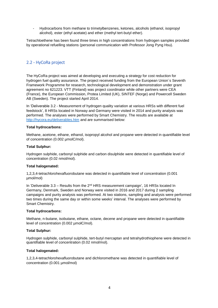- Hydrocarbons from methane to trimetylbenzenes, ketones, alcohols (ethanol, isopropyl alcohol), ester (ethyl acetate) and ether (methyl tert-butyl ether).

Tetrachloethene has been found three times in high concentrations from hydrogen samples provided by operational refuelling stations (personal communication with Professor Jong Pyng Hsu).

# <span id="page-4-0"></span>2.2 - HyCoRa project

The HyCoRa project was aimed at developing and executing a strategy for cost reduction for hydrogen fuel quality assurance. The project received funding from the European Union´s Seventh Framework Programme for research, technological development and demonstration under grant agreement no 621223. VTT (Finland) was project coordinator while other partners were CEA (France), the European Commission, Protea Limited (UK), SINTEF (Norge) and Powercell Sweden AB (Sweden). The project started April 2014.

In 'Deliverable 3.2 - Measurement of hydrogen quality variation at various HRSs with different fuel feedstock', 8 HRSs located in Norway and Germany were visited in 2014 and purity analysis was performed. The analyses were performed by Smart Chemistry. The results are available at <http://hycora.eu/deliverables.htm> and are summarised below:

#### **Total hydrocarbons:**

Methane, acetone, ethane, ethanol, isopropyl alcohol and propane were detected in quantifiable level of concentration (0.002 µmolC/mol).

#### **Total Sulphur:**

Hydrogen sulphide, carbonyl sulphide and carbon disulphide were detected in quantifiable level of concentration (0.02 nmol/mol).

#### **Total halogenated:**

1,2,3,4-tetrachlorohexafluorobutane was detected in quantifiable level of concentration (0.001 µmol/mol)

In 'Deliverable 3.3 – Results from the 2<sup>nd</sup> HRS measurement campaign', 16 HRSs located In Germany, Denmark, Sweden and Norway were visited in 2016 and 2017 during 2 sampling campaigns and purity analysis was performed. At two stations, sampling and analysis were performed two times during the same day or within some weeks' interval. The analyses were performed by Smart Chemistry.

#### **Total hydrocarbons:**

Methane, n-butane, isobutane, ethane, octane, decene and propane were detected in quantifiable level of concentration (0.002 µmolC/mol).

#### **Total Sulphur:**

Hydrogen sulphide, carbonyl sulphide, tert-butyl mercaptan and tetrahydrothiophene were detected in quantifiable level of concentration (0.02 nmol/mol).

#### **Total halogenated:**

1,2,3,4-tetrachlorohexafluorobutane and dichloromethane was detected in quantifiable level of concentration (0.001 umol/mol)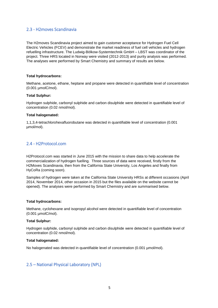## <span id="page-5-0"></span>2.3 - H2moves Scandinavia

The H2moves Scandinavia project aimed to gain customer acceptance for Hydrogen Fuel Cell Electric Vehicles (FCEV) and demonstrate the market readiness of fuel cell vehicles and hydrogen refuelling infrastructure. The Ludwig-Bölkow-Systemtechnik GmbH – LBST was coordinator of the project. Three HRS located in Norway were visited (2012-2013) and purity analysis was performed. The analyses were performed by Smart Chemistry and summary of results are below.

#### **Total hydrocarbons:**

Methane, acetone, ethane, heptane and propane were detected in quantifiable level of concentration (0.001 µmolC/mol).

#### **Total Sulphur:**

Hydrogen sulphide, carbonyl sulphide and carbon disulphide were detected in quantifiable level of concentration (0.02 nmol/mol).

#### **Total halogenated:**

1,1,3,4-tetrachlorohexafluorobutane was detected in quantifiable level of concentration (0.001 µmol/mol).

## <span id="page-5-1"></span>2.4 - H2Protocol.com

H2Protocol.com was started in June 2015 with the mission to share data to help accelerate the commercialization of hydrogen fuelling. Three sources of data were received, firstly from the H2Moves Scandinavia, then from the California State University, Los Angeles and finally from HyCoRa (coming soon).

Samples of hydrogen were taken at the California State University HRSs at different occasions (April 2014, November 2014, other occasion in 2015 but the files available on the website cannot be opened). The analyses were performed by Smart Chemistry and are summarised below.

#### **Total hydrocarbons:**

Methane, cyclohexane and isopropyl alcohol were detected in quantifiable level of concentration (0.001 µmolC/mol).

#### **Total Sulphur:**

Hydrogen sulphide, carbonyl sulphide and carbon disulphide were detected in quantifiable level of concentration (0.02 nmol/mol).

#### **Total halogenated:**

No halogenated was detected in quantifiable level of concentration (0.001 µmol/mol).

## <span id="page-5-2"></span>2.5 – National Physical Laboratory (NPL)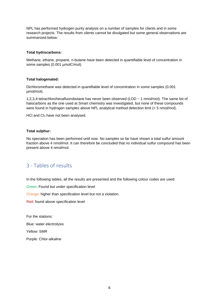NPL has performed hydrogen purity analysis on a number of samples for clients and in some research projects. The results from clients cannot be divulgated but some general observations are summarized below:

#### **Total hydrocarbons:**

Methane, ethane, propane, n-butane have been detected in quantifiable level of concentration in some samples (0.001 µmolC/mol).

#### **Total halogenated:**

Dichloromethane was detected in quantifiable level of concentration in some samples (0.001 µmol/mol).

1,2,3,4-tetrachlorohexafluorobutane has never been observed (LOD ~ 1 nmol/mol). The same list of halocarbons as the one used at Smart chemistry was investigated, but none of these compounds were found in hydrogen samples above NPL analytical method detection limit (< 5 nmol/mol).

HCl and Cl<sub>2</sub> have not been analysed.

#### **Total sulphur:**

No speciation has been performed until now. No samples so far have shown a total sulfur amount fraction above 4 nmol/mol. It can therefore be concluded that no individual sulfur compound has been present above 4 nmol/mol.

# <span id="page-6-0"></span>3 - Tables of results

In the following tables, all the results are presented and the following colour codes are used:

Green: Found but under specification level

Orange: higher than specification level but not a violation.

Red: found above specification level

For the stations:

Blue: water electrolysis

Yellow: SMR

Purple: Chlor-alkaline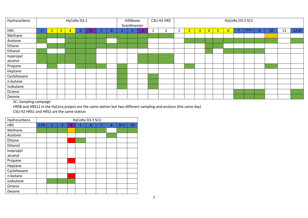| Hydrocarbons | HyCoRa D3.2 |                |                |    |    |  | H2Moves<br>Scandinavian |  |  | CSU H2 HRS<br>HyCoRa D3.3 SC2 |   |  |                |                |   |   |    |    |          |   |    |    |          |
|--------------|-------------|----------------|----------------|----|----|--|-------------------------|--|--|-------------------------------|---|--|----------------|----------------|---|---|----|----|----------|---|----|----|----------|
| <b>HRS</b>   |             | 3 <sup>2</sup> | $\overline{4}$ | 5. | 6. |  | 8                       |  |  | 3                             | 2 |  | 2 <sup>1</sup> | $\overline{3}$ | 4 | 5 | 6. | ۰. | $8 = 12$ | 9 | 10 | 11 | $12 = 8$ |
| Methane      |             |                |                |    |    |  |                         |  |  |                               |   |  |                |                |   |   |    |    |          |   |    |    |          |
| Acetone      |             |                |                |    |    |  |                         |  |  |                               |   |  |                |                |   |   |    |    |          |   |    |    |          |
| Ethane       |             |                |                |    |    |  |                         |  |  |                               |   |  |                |                |   |   |    |    |          |   |    |    |          |
| Ethanol      |             |                |                |    |    |  |                         |  |  |                               |   |  |                |                |   |   |    |    |          |   |    |    |          |
| Isopropyl    |             |                |                |    |    |  |                         |  |  |                               |   |  |                |                |   |   |    |    |          |   |    |    |          |
| alcohol      |             |                |                |    |    |  |                         |  |  |                               |   |  |                |                |   |   |    |    |          |   |    |    |          |
| Propane      |             |                |                |    |    |  |                         |  |  |                               |   |  |                |                |   |   |    |    |          |   |    |    |          |
| Heptane      |             |                |                |    |    |  |                         |  |  |                               |   |  |                |                |   |   |    |    |          |   |    |    |          |
| Cyclohexane  |             |                |                |    |    |  |                         |  |  |                               |   |  |                |                |   |   |    |    |          |   |    |    |          |
| n-butane     |             |                |                |    |    |  |                         |  |  |                               |   |  |                |                |   |   |    |    |          |   |    |    |          |
| Isobutane    |             |                |                |    |    |  |                         |  |  |                               |   |  |                |                |   |   |    |    |          |   |    |    |          |
| Octene       |             |                |                |    |    |  |                         |  |  |                               |   |  |                |                |   |   |    |    |          |   |    |    |          |
| Decene       |             |                |                |    |    |  |                         |  |  |                               |   |  |                |                |   |   |    |    |          |   |    |    |          |

SC: Sampling campaign

HRS8 and HRS12 in the HyCora project are the same station but two different sampling and analysis (the same day)

CSU H2 HRS1 and HRS2 are the same station

| Hydrocarbons |         | HyCoRa D3.3 SC3 |   |   |   |   |   |   |         |    |  |  |  |  |  |
|--------------|---------|-----------------|---|---|---|---|---|---|---------|----|--|--|--|--|--|
| <b>HRS</b>   | $1 = 9$ | $\overline{2}$  | 3 | 4 | 5 | 6 | 7 | 8 | $9 = 1$ | 10 |  |  |  |  |  |
| Methane      |         |                 |   |   |   |   |   |   |         |    |  |  |  |  |  |
| Acetone      |         |                 |   |   |   |   |   |   |         |    |  |  |  |  |  |
| Ethane       |         |                 |   |   |   |   |   |   |         |    |  |  |  |  |  |
| Ethanol      |         |                 |   |   |   |   |   |   |         |    |  |  |  |  |  |
| Isopropyl    |         |                 |   |   |   |   |   |   |         |    |  |  |  |  |  |
| alcohol      |         |                 |   |   |   |   |   |   |         |    |  |  |  |  |  |
| Propane      |         |                 |   |   |   |   |   |   |         |    |  |  |  |  |  |
| Heptane      |         |                 |   |   |   |   |   |   |         |    |  |  |  |  |  |
| Cyclohexane  |         |                 |   |   |   |   |   |   |         |    |  |  |  |  |  |
| n-butane     |         |                 |   |   |   |   |   |   |         |    |  |  |  |  |  |
| Isobutane    |         |                 |   |   |   |   |   |   |         |    |  |  |  |  |  |
| Octene       |         |                 |   |   |   |   |   |   |         |    |  |  |  |  |  |
| Decene       |         |                 |   |   |   |   |   |   |         |    |  |  |  |  |  |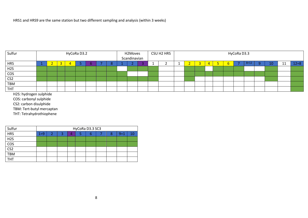HRS1 and HRS9 are the same station but two different sampling and analysis (within 3 weeks)

| Sulfur           |  |  |  | HyCoRa D3.2 |  |  |   | H2Moves      |  |  | CSU H2 HRS |  |          |  |  |  |             | HyCoRa D3.3 |      |  |          |
|------------------|--|--|--|-------------|--|--|---|--------------|--|--|------------|--|----------|--|--|--|-------------|-------------|------|--|----------|
|                  |  |  |  |             |  |  |   | Scandinavian |  |  |            |  |          |  |  |  |             |             |      |  |          |
| <b>HRS</b>       |  |  |  |             |  |  | c |              |  |  |            |  | <b>.</b> |  |  |  | $\mathbf b$ |             | -8=1 |  | $12 = 8$ |
| H <sub>2</sub> S |  |  |  |             |  |  |   |              |  |  |            |  |          |  |  |  |             |             |      |  |          |
| COS              |  |  |  |             |  |  |   |              |  |  |            |  |          |  |  |  |             |             |      |  |          |
| CS <sub>2</sub>  |  |  |  |             |  |  |   |              |  |  |            |  |          |  |  |  |             |             |      |  |          |
| TBM              |  |  |  |             |  |  |   |              |  |  |            |  |          |  |  |  |             |             |      |  |          |
| <b>THT</b>       |  |  |  |             |  |  |   |              |  |  |            |  |          |  |  |  |             |             |      |  |          |
| H2S: h           |  |  |  |             |  |  |   |              |  |  |            |  |          |  |  |  |             |             |      |  |          |

H2S: hydrogen sulphide

COS: carbonyl sulphide

CS2: carbon disulphide

TBM: Tert-butyl mercaptan

THT: Tetrahydrothiophene

| Sulfur           | HyCoRa D3.3 SC3 |  |  |    |  |  |  |   |         |  |  |  |  |  |
|------------------|-----------------|--|--|----|--|--|--|---|---------|--|--|--|--|--|
| <b>HRS</b>       | $1 = 9$         |  |  | z. |  |  |  | 8 | $9 = 1$ |  |  |  |  |  |
| H <sub>2</sub> S |                 |  |  |    |  |  |  |   |         |  |  |  |  |  |
| COS              |                 |  |  |    |  |  |  |   |         |  |  |  |  |  |
| CS <sub>2</sub>  |                 |  |  |    |  |  |  |   |         |  |  |  |  |  |
| <b>TBM</b>       |                 |  |  |    |  |  |  |   |         |  |  |  |  |  |
| <b>THT</b>       |                 |  |  |    |  |  |  |   |         |  |  |  |  |  |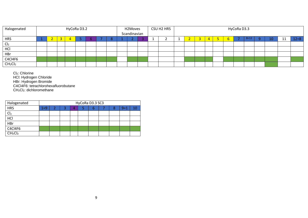| Halogenated                     | HyCoRa D3.2 |   |  |  |  |  | H2Moves<br>Scandinavian |  |  | CSU H2 HRS<br>HyCoRa D3.3 |  |   |  |  |               |        |  |           |          |
|---------------------------------|-------------|---|--|--|--|--|-------------------------|--|--|---------------------------|--|---|--|--|---------------|--------|--|-----------|----------|
| <b>HRS</b>                      |             | 3 |  |  |  |  |                         |  |  |                           |  | - |  |  | $\mathfrak b$ | $8=12$ |  | <b>TT</b> | $12 = 8$ |
| Cl <sub>2</sub>                 |             |   |  |  |  |  |                         |  |  |                           |  |   |  |  |               |        |  |           |          |
| HCI                             |             |   |  |  |  |  |                         |  |  |                           |  |   |  |  |               |        |  |           |          |
| HBr                             |             |   |  |  |  |  |                         |  |  |                           |  |   |  |  |               |        |  |           |          |
| C4Cl4F6                         |             |   |  |  |  |  |                         |  |  |                           |  |   |  |  |               |        |  |           |          |
| CH <sub>2</sub> Cl <sub>2</sub> |             |   |  |  |  |  |                         |  |  |                           |  |   |  |  |               |        |  |           |          |

Cl2: Chlorine

HCl: Hydrogen Chloride

HBr: Hydrogen Bromide

C4Cl4F6: tetrachlorohexafluorobutane

CH2Cl2: dichloromethane

| Halogenated                     | HyCoRa D3.3 SC3 |  |  |   |  |   |  |   |       |    |  |  |  |
|---------------------------------|-----------------|--|--|---|--|---|--|---|-------|----|--|--|--|
| <b>HRS</b>                      | $1 = 9$         |  |  | Д |  | n |  | 8 | $9=1$ | 10 |  |  |  |
| Cl <sub>2</sub>                 |                 |  |  |   |  |   |  |   |       |    |  |  |  |
| HCl                             |                 |  |  |   |  |   |  |   |       |    |  |  |  |
| HBr                             |                 |  |  |   |  |   |  |   |       |    |  |  |  |
| C4Cl4F6                         |                 |  |  |   |  |   |  |   |       |    |  |  |  |
| CH <sub>2</sub> Cl <sub>2</sub> |                 |  |  |   |  |   |  |   |       |    |  |  |  |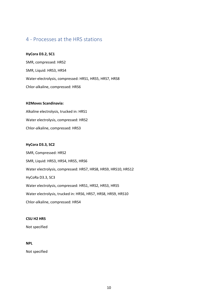# <span id="page-10-0"></span>4 - Processes at the HRS stations

#### **HyCora D3.2, SC1**

SMR, compressed: HRS2 SMR, Liquid: HRS3, HRS4 Water-electrolysis, compressed: HRS1, HRS5, HRS7, HRS8 Chlor-alkaline, compressed: HRS6

#### **H2Moves Scandinavia:**

Alkaline electrolysis, trucked in: HRS1 Water electrolysis, compressed: HRS2 Chlor-alkaline, compressed: HRS3

#### **HyCora D3.3, SC2**

SMR, Compressed: HRS2 SMR, Liquid: HRS3, HRS4, HRS5, HRS6 Water electrolysis, compressed: HRS7, HRS8, HRS9, HRS10, HRS12 HyCoRa D3.3, SC3 Water electrolysis, compressed: HRS1, HRS2, HRS3, HRS5 Water electrolysis, trucked in: HRS6, HRS7, HRS8, HRS9, HRS10 Chlor-alkaline, compressed: HRS4

#### **CSU H2 HRS**

Not specified

#### **NPL**

Not specified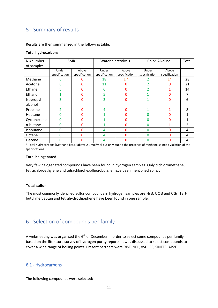# <span id="page-11-0"></span>5 - Summary of results

Results are then summarized in the following table:

#### **Total hydrocarbons**

| $N =$ number |               | <b>SMR</b>    | Water electrolysis |               | Chlor-Alkaline | Total         |                |
|--------------|---------------|---------------|--------------------|---------------|----------------|---------------|----------------|
| of samples   |               |               |                    |               |                |               |                |
|              | Under         | Above         | Under              | Above         | Under          | Above         |                |
|              | specification | specification | specification      | specification | specification  | specification |                |
| Methane      | 6             | 0             | 18                 | $1*$          | 2              | $1*$          | 28             |
| Acetone      | 6             | 0             | 11                 | $\Omega$      | 2              | 0             | 21             |
| Ethane       | 5             | 0             | 6                  | $\mathbf{0}$  | 2              |               | 14             |
| Ethanol      |               | 0             | 5                  | $\Omega$      |                | 0             | 7              |
| Isopropyl    | 3             | 0             | $\overline{2}$     | 0             | 1              | 0             | 6              |
| alcohol      |               |               |                    |               |                |               |                |
| Propane      |               | 0             | 4                  | $\Omega$      | 1              |               | 8              |
| Heptane      | $\Omega$      | 0             |                    | $\Omega$      | $\Omega$       | 0             | 1              |
| Cyclohexane  | $\Omega$      | 0             |                    | $\Omega$      | 0              | $\mathbf{0}$  | 1              |
| n-butane     | O             | 0             |                    | $\Omega$      | 0              | 1             | $\overline{2}$ |
| Isobutane    | $\Omega$      | 0             | 4                  | $\mathbf{0}$  | 0              | 0             | 4              |
| Octene       | $\Omega$      | 0             | 4                  | $\Omega$      | $\Omega$       | 0             | 4              |
| Decene       | U             | 0             | 4                  | 0             | 0              | 0             | 4              |

\* Total hydrocarbons (Methane basis) above 2 µmol/mol but only due to the presence of methane so not a violation of the specifications

#### **Total halogenated**

Very few halogenated compounds have been found in hydrogen samples. Only dichloromethane, tetrachloroethylene and tetrachlorohexafluorobutane have been mentioned so far.

#### **Total sulfur**

The most commonly identified sulfur compounds in hydrogen samples are H<sub>2</sub>S, COS and CS<sub>2</sub>. Tertbutyl mercaptan and tetrahydrothiophene have been found in one sample.

# <span id="page-11-1"></span>6 - Selection of compounds per family

A webmeeting was organised the  $6<sup>th</sup>$  of December in order to select some compounds per family based on the literature survey of hydrogen purity reports. It was discussed to select compounds to cover a wide range of boiling points. Present partners were RISE, NPL, VSL, IFE, SINTEF, AP2E.

#### <span id="page-11-2"></span>6.1 - Hydrocarbons

The following compounds were selected: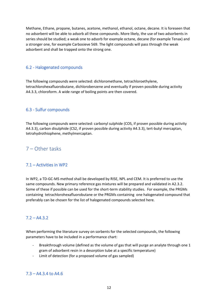Methane, Ethane, propane, butanes, acetone, methanol, ethanol, octane, decane. It is foreseen that no adsorbent will be able to adsorb all these compounds. More likely, the use of two adsorbents in series should be studied; a weak one to adsorb for example octane, decane (for example Tenax) and a stronger one, for example Carbosieve 569. The light compounds will pass through the weak adsorbent and shall be trapped onto the strong one.

## <span id="page-12-0"></span>6.2 - Halogenated compounds

The following compounds were selected: dichloromethane, tetrachloroethylene, tetrachlorohexafluorobutane, dichlorobenzene and eventually if proven possible during activity A4.3.3, chloroform. A wide range of boiling points are then covered.

## <span id="page-12-1"></span>6.3 - Sulfur compounds

The following compounds were selected: carbonyl sulphide (COS, if proven possible during activity A4.3.3), carbon disulphide (CS2, if proven possible during activity A4.3.3), tert-butyl mercaptan, tetrahydrothiophene, methylmercaptan.

# <span id="page-12-2"></span>7 – Other tasks

## <span id="page-12-3"></span>7.1 – Activities in WP2

In WP2, a TD-GC-MS method shall be developed by RISE, NPL and CEM. It is preferred to use the same compounds. New primary reference gas mixtures will be prepared and validated in A2.3.2. Some of these if possible can be used for the short-term stability studies. For example, the PRGMs containing tetrachlorohexafluorobutane or the PRGMs containing one halogenated compound that preferably can be chosen for the list of halogenated compounds selected here.

## <span id="page-12-4"></span> $7.2 - A4.3.2$

When performing the literature survey on sorbents for the selected compounds, the following parameters have to be included in a performance chart:

- Breakthrough volume (defined as the volume of gas that will purge an analyte through one 1 gram of adsorbent resin in a desorption tube at a specific temperature)
- Limit of detection (for a proposed volume of gas sampled)

## <span id="page-12-5"></span>7.3 – A4.3.4 to A4.6